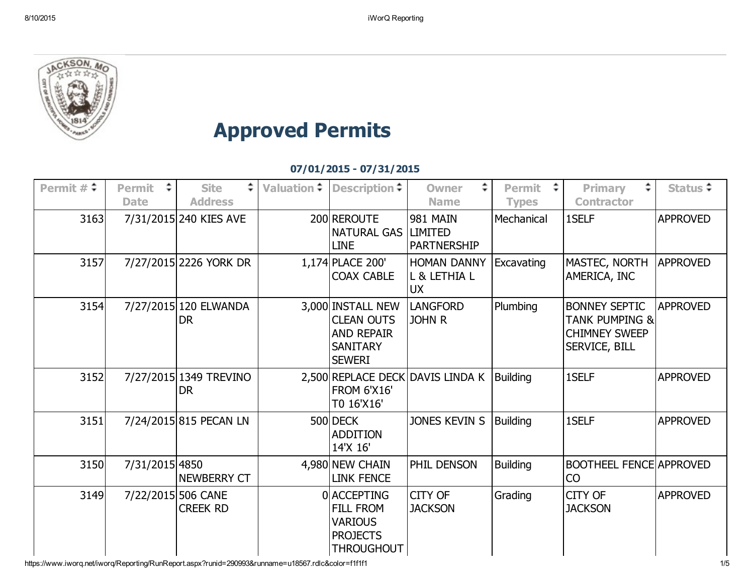

## Approved Permits

## 07/01/2015 07/31/2015

| Permit $\#\hat{\div}$ | $\div$<br><b>Permit</b><br><b>Date</b> | ÷.<br><b>Site</b><br><b>Address</b>   | Valuation $\div$ Description $\div$                                                             | ÷.<br><b>Owner</b><br><b>Name</b>                       | ÷<br>Permit<br><b>Types</b> | ÷.<br><b>Primary</b><br><b>Contractor</b>                                                  | Status $\div$   |
|-----------------------|----------------------------------------|---------------------------------------|-------------------------------------------------------------------------------------------------|---------------------------------------------------------|-----------------------------|--------------------------------------------------------------------------------------------|-----------------|
| 3163                  |                                        | 7/31/2015 240 KIES AVE                | 200 REROUTE<br><b>NATURAL GAS</b><br><b>LINE</b>                                                | <b>981 MAIN</b><br><b>LIMITED</b><br><b>PARTNERSHIP</b> | Mechanical                  | 1SELF                                                                                      | <b>APPROVED</b> |
| 3157                  |                                        | 7/27/2015 2226 YORK DR                | 1,174 PLACE 200'<br><b>COAX CABLE</b>                                                           | <b>HOMAN DANNY</b><br>L & LETHIA L<br><b>UX</b>         | Excavating                  | MASTEC, NORTH<br><b>AMERICA, INC</b>                                                       | <b>APPROVED</b> |
| 3154                  |                                        | 7/27/2015 120 ELWANDA<br><b>DR</b>    | 3,000 INSTALL NEW<br><b>CLEAN OUTS</b><br><b>AND REPAIR</b><br><b>SANITARY</b><br><b>SEWERI</b> | <b>LANGFORD</b><br><b>JOHN R</b>                        | Plumbing                    | <b>BONNEY SEPTIC</b><br><b>TANK PUMPING &amp;</b><br><b>CHIMNEY SWEEP</b><br>SERVICE, BILL | <b>APPROVED</b> |
| 3152                  |                                        | 7/27/2015 1349 TREVINO<br>DR.         | <b>FROM 6'X16'</b><br>T0 16'X16'                                                                | 2,500 REPLACE DECK DAVIS LINDA K                        | <b>Building</b>             | 1SELF                                                                                      | <b>APPROVED</b> |
| 3151                  |                                        | 7/24/2015 815 PECAN LN                | 500 DECK<br><b>ADDITION</b><br>14'X 16'                                                         | JONES KEVIN S                                           | <b>Building</b>             | 1SELF                                                                                      | <b>APPROVED</b> |
| 3150                  | 7/31/2015 4850                         | <b>NEWBERRY CT</b>                    | 4,980 NEW CHAIN<br><b>LINK FENCE</b>                                                            | PHIL DENSON                                             | <b>Building</b>             | <b>BOOTHEEL FENCE APPROVED</b><br><b>CO</b>                                                |                 |
| 3149                  |                                        | 7/22/2015 506 CANE<br><b>CREEK RD</b> | 0 ACCEPTING<br><b>FILL FROM</b><br><b>VARIOUS</b><br><b>PROJECTS</b><br><b>THROUGHOUT</b>       | CITY OF<br><b>JACKSON</b>                               | Grading                     | <b>CITY OF</b><br><b>JACKSON</b>                                                           | <b>APPROVED</b> |

https://www.iworq.net/iworq/Reporting/RunReport.aspx?runid=290993&runname=u18567.rdlc&color=f1f1f1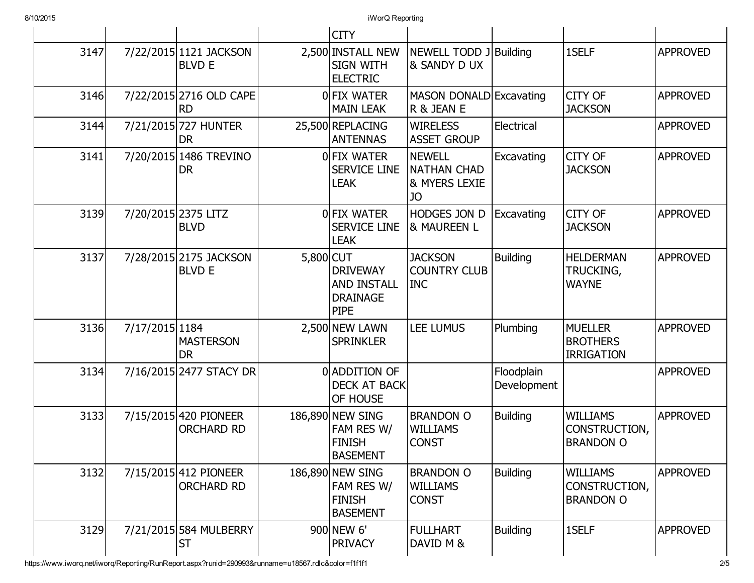|      |                |                                            |           | <b>CITY</b>                                                             |                                                            |                           |                                                        |                 |
|------|----------------|--------------------------------------------|-----------|-------------------------------------------------------------------------|------------------------------------------------------------|---------------------------|--------------------------------------------------------|-----------------|
| 3147 |                | 7/22/2015 1121 JACKSON<br><b>BLVD E</b>    |           | 2,500 INSTALL NEW<br><b>SIGN WITH</b><br><b>ELECTRIC</b>                | NEWELL TODD J Building<br>& SANDY D UX                     |                           | 1SELF                                                  | <b>APPROVED</b> |
| 3146 |                | 7/22/2015 2716 OLD CAPE<br><b>RD</b>       |           | OFIX WATER<br><b>MAIN LEAK</b>                                          | MASON DONALD Excavating<br>R & JEAN E                      |                           | <b>CITY OF</b><br><b>JACKSON</b>                       | <b>APPROVED</b> |
| 3144 |                | 7/21/2015 727 HUNTER<br>DR                 |           | 25,500 REPLACING<br><b>ANTENNAS</b>                                     | <b>WIRELESS</b><br><b>ASSET GROUP</b>                      | Electrical                |                                                        | <b>APPROVED</b> |
| 3141 |                | 7/20/2015 1486 TREVINO<br><b>DR</b>        |           | OFIX WATER<br><b>SERVICE LINE</b><br><b>LEAK</b>                        | <b>NEWELL</b><br><b>NATHAN CHAD</b><br>& MYERS LEXIE<br>JO | Excavating                | <b>CITY OF</b><br><b>JACKSON</b>                       | <b>APPROVED</b> |
| 3139 |                | 7/20/2015 2375 LITZ<br><b>BLVD</b>         |           | OFIX WATER<br><b>SERVICE LINE</b><br><b>LEAK</b>                        | HODGES JON D<br><b>&amp; MAUREEN L</b>                     | Excavating                | <b>CITY OF</b><br><b>JACKSON</b>                       | <b>APPROVED</b> |
| 3137 |                | 7/28/2015 2175 JACKSON<br><b>BLVD E</b>    | 5,800 CUT | <b>DRIVEWAY</b><br><b>AND INSTALL</b><br><b>DRAINAGE</b><br><b>PIPE</b> | <b>JACKSON</b><br><b>COUNTRY CLUB</b><br><b>INC</b>        | <b>Building</b>           | <b>HELDERMAN</b><br><b>TRUCKING,</b><br><b>WAYNE</b>   | <b>APPROVED</b> |
| 3136 | 7/17/2015 1184 | <b>MASTERSON</b><br><b>DR</b>              |           | 2,500 NEW LAWN<br><b>SPRINKLER</b>                                      | LEE LUMUS                                                  | Plumbing                  | <b>MUELLER</b><br><b>BROTHERS</b><br><b>IRRIGATION</b> | <b>APPROVED</b> |
| 3134 |                | 7/16/2015 2477 STACY DR                    |           | 0 ADDITION OF<br><b>DECK AT BACK</b><br>OF HOUSE                        |                                                            | Floodplain<br>Development |                                                        | <b>APPROVED</b> |
| 3133 |                | 7/15/2015 420 PIONEER<br><b>ORCHARD RD</b> |           | 186,890 NEW SING<br>FAM RES W/<br><b>FINISH</b><br><b>BASEMENT</b>      | <b>BRANDON O</b><br><b>WILLIAMS</b><br><b>CONST</b>        | <b>Building</b>           | <b>WILLIAMS</b><br>CONSTRUCTION,<br><b>BRANDON O</b>   | <b>APPROVED</b> |
| 3132 |                | 7/15/2015 412 PIONEER<br><b>ORCHARD RD</b> |           | 186,890 NEW SING<br>FAM RES W/<br><b>FINISH</b><br><b>BASEMENT</b>      | <b>BRANDON O</b><br><b>WILLIAMS</b><br><b>CONST</b>        | <b>Building</b>           | <b>WILLIAMS</b><br>CONSTRUCTION,<br><b>BRANDON O</b>   | <b>APPROVED</b> |
| 3129 |                | 7/21/2015 584 MULBERRY<br><b>ST</b>        |           | 900 NEW 6'<br><b>PRIVACY</b>                                            | <b>FULLHART</b><br>DAVID M &                               | <b>Building</b>           | 1SELF                                                  | <b>APPROVED</b> |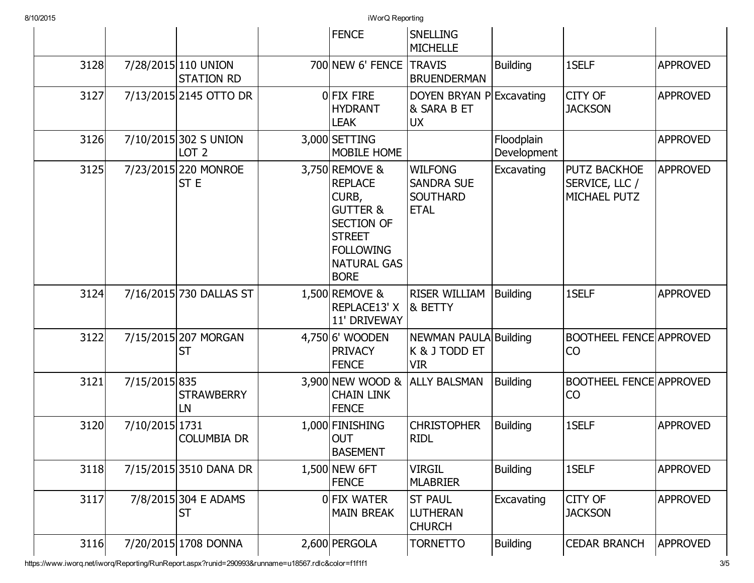|      |                |                                           | <b>FENCE</b>                                                                                                                                                    | <b>SNELLING</b><br><b>MICHELLE</b>                                    |                           |                                                       |                 |
|------|----------------|-------------------------------------------|-----------------------------------------------------------------------------------------------------------------------------------------------------------------|-----------------------------------------------------------------------|---------------------------|-------------------------------------------------------|-----------------|
| 3128 |                | 7/28/2015 110 UNION<br><b>STATION RD</b>  | 700 NEW 6' FENCE                                                                                                                                                | <b>TRAVIS</b><br><b>BRUENDERMAN</b>                                   | <b>Building</b>           | 1SELF                                                 | <b>APPROVED</b> |
| 3127 |                | 7/13/2015 2145 OTTO DR                    | OFIX FIRE<br><b>HYDRANT</b><br><b>LEAK</b>                                                                                                                      | DOYEN BRYAN PExcavating<br>& SARA B ET<br><b>UX</b>                   |                           | CITY OF<br><b>JACKSON</b>                             | <b>APPROVED</b> |
| 3126 |                | 7/10/2015 302 S UNION<br>LOT <sub>2</sub> | 3,000 SETTING<br>MOBILE HOME                                                                                                                                    |                                                                       | Floodplain<br>Development |                                                       | <b>APPROVED</b> |
| 3125 |                | 7/23/2015 220 MONROE<br>ST E              | 3,750 REMOVE &<br><b>REPLACE</b><br>CURB,<br><b>GUTTER &amp;</b><br><b>SECTION OF</b><br><b>STREET</b><br><b>FOLLOWING</b><br><b>NATURAL GAS</b><br><b>BORE</b> | <b>WILFONG</b><br><b>SANDRA SUE</b><br><b>SOUTHARD</b><br><b>ETAL</b> | Excavating                | <b>PUTZ BACKHOE</b><br>SERVICE, LLC /<br>MICHAEL PUTZ | <b>APPROVED</b> |
| 3124 |                | 7/16/2015 730 DALLAS ST                   | 1,500 REMOVE &<br>REPLACE13' X<br>11' DRIVEWAY                                                                                                                  | <b>RISER WILLIAM</b><br>& BETTY                                       | <b>Building</b>           | 1SELF                                                 | <b>APPROVED</b> |
| 3122 |                | 7/15/2015 207 MORGAN<br><b>ST</b>         | 4,750 6' WOODEN<br><b>PRIVACY</b><br><b>FENCE</b>                                                                                                               | <b>NEWMAN PAULA Building</b><br>K & J TODD ET<br><b>VIR</b>           |                           | <b>BOOTHEEL FENCE APPROVED</b><br>CO                  |                 |
| 3121 | 7/15/2015 835  | <b>STRAWBERRY</b><br>LN                   | <b>CHAIN LINK</b><br><b>FENCE</b>                                                                                                                               | 3,900 NEW WOOD & ALLY BALSMAN                                         | <b>Building</b>           | <b>BOOTHEEL FENCE APPROVED</b><br>CO                  |                 |
| 3120 | 7/10/2015 1731 | <b>COLUMBIA DR</b>                        | 1,000 FINISHING<br><b>OUT</b><br><b>BASEMENT</b>                                                                                                                | <b>CHRISTOPHER</b><br><b>RIDL</b>                                     | <b>Building</b>           | 1SELF                                                 | <b>APPROVED</b> |
| 3118 |                | 7/15/2015 3510 DANA DR                    | 1,500 NEW 6FT<br><b>FENCE</b>                                                                                                                                   | <b>VIRGIL</b><br><b>MLABRIER</b>                                      | <b>Building</b>           | 1SELF                                                 | <b>APPROVED</b> |
| 3117 |                | 7/8/2015 304 E ADAMS<br><b>ST</b>         | OFIX WATER<br><b>MAIN BREAK</b>                                                                                                                                 | <b>ST PAUL</b><br><b>LUTHERAN</b><br><b>CHURCH</b>                    | Excavating                | CITY OF<br><b>JACKSON</b>                             | <b>APPROVED</b> |
| 3116 |                | 7/20/2015 1708 DONNA                      | 2,600 PERGOLA                                                                                                                                                   | <b>TORNETTO</b>                                                       | <b>Building</b>           | <b>CEDAR BRANCH</b>                                   | <b>APPROVED</b> |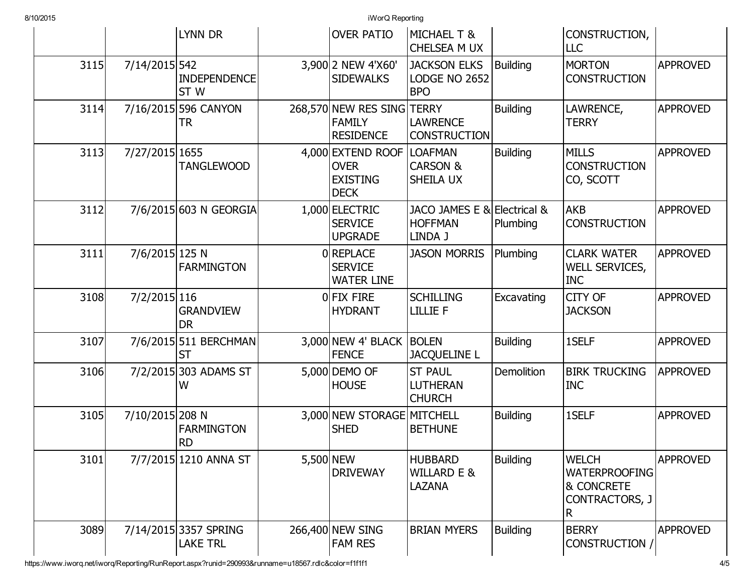|      |                 | <b>LYNN DR</b>                           |           | <b>OVER PATIO</b>                                                  | <b>MICHAEL T &amp;</b><br>CHELSEA M UX                   |                 | CONSTRUCTION,<br><b>LLC</b>                                               |                 |
|------|-----------------|------------------------------------------|-----------|--------------------------------------------------------------------|----------------------------------------------------------|-----------------|---------------------------------------------------------------------------|-----------------|
| 3115 | 7/14/2015 542   | <b>INDEPENDENCE</b><br>ST W              |           | 3,900 2 NEW 4'X60'<br><b>SIDEWALKS</b>                             | <b>JACKSON ELKS</b><br>LODGE NO 2652<br><b>BPO</b>       | <b>Building</b> | <b>MORTON</b><br><b>CONSTRUCTION</b>                                      | <b>APPROVED</b> |
| 3114 |                 | 7/16/2015 596 CANYON<br>TR               |           | 268,570 NEW RES SING TERRY<br><b>FAMILY</b><br><b>RESIDENCE</b>    | <b>LAWRENCE</b><br><b>CONSTRUCTION</b>                   | <b>Building</b> | LAWRENCE,<br><b>TERRY</b>                                                 | <b>APPROVED</b> |
| 3113 | 7/27/2015 1655  | <b>TANGLEWOOD</b>                        |           | 4,000 EXTEND ROOF<br><b>OVER</b><br><b>EXISTING</b><br><b>DECK</b> | <b>LOAFMAN</b><br><b>CARSON &amp;</b><br>SHEILA UX       | <b>Building</b> | <b>MILLS</b><br><b>CONSTRUCTION</b><br>CO, SCOTT                          | <b>APPROVED</b> |
| 3112 |                 | 7/6/2015 603 N GEORGIA                   |           | 1,000 ELECTRIC<br><b>SERVICE</b><br><b>UPGRADE</b>                 | JACO JAMES E & Electrical &<br><b>HOFFMAN</b><br>LINDA J | Plumbing        | <b>AKB</b><br><b>CONSTRUCTION</b>                                         | <b>APPROVED</b> |
| 3111 | 7/6/2015 125 N  | <b>FARMINGTON</b>                        |           | 0REPLACE<br><b>SERVICE</b><br><b>WATER LINE</b>                    | <b>JASON MORRIS</b>                                      | Plumbing        | <b>CLARK WATER</b><br>WELL SERVICES,<br><b>INC</b>                        | <b>APPROVED</b> |
| 3108 | 7/2/2015 116    | <b>GRANDVIEW</b><br><b>DR</b>            |           | OFIX FIRE<br><b>HYDRANT</b>                                        | <b>SCHILLING</b><br><b>LILLIE F</b>                      | Excavating      | CITY OF<br><b>JACKSON</b>                                                 | <b>APPROVED</b> |
| 3107 |                 | 7/6/2015 511 BERCHMAN<br><b>ST</b>       |           | $3,000$ NEW 4' BLACK<br><b>FENCE</b>                               | <b>BOLEN</b><br><b>JACQUELINE L</b>                      | <b>Building</b> | 1SELF                                                                     | <b>APPROVED</b> |
| 3106 |                 | 7/2/2015 303 ADAMS ST<br>W               |           | 5,000 DEMO OF<br><b>HOUSE</b>                                      | <b>ST PAUL</b><br><b>LUTHERAN</b><br><b>CHURCH</b>       | Demolition      | <b>BIRK TRUCKING</b><br><b>INC</b>                                        | <b>APPROVED</b> |
| 3105 | 7/10/2015 208 N | <b>FARMINGTON</b><br><b>RD</b>           |           | 3,000 NEW STORAGE MITCHELL<br><b>SHED</b>                          | <b>BETHUNE</b>                                           | <b>Building</b> | 1SELF                                                                     | <b>APPROVED</b> |
| 3101 |                 | 7/7/2015 1210 ANNA ST                    | 5,500 NEW | <b>DRIVEWAY</b>                                                    | <b>HUBBARD</b><br><b>WILLARD E &amp;</b><br>LAZANA       | <b>Building</b> | <b>WELCH</b><br><b>WATERPROOFING</b><br>& CONCRETE<br>CONTRACTORS, J<br>R | <b>APPROVED</b> |
| 3089 |                 | 7/14/2015 3357 SPRING<br><b>LAKE TRL</b> |           | 266,400 NEW SING<br><b>FAM RES</b>                                 | <b>BRIAN MYERS</b>                                       | <b>Building</b> | <b>BERRY</b><br>CONSTRUCTION /                                            | <b>APPROVED</b> |